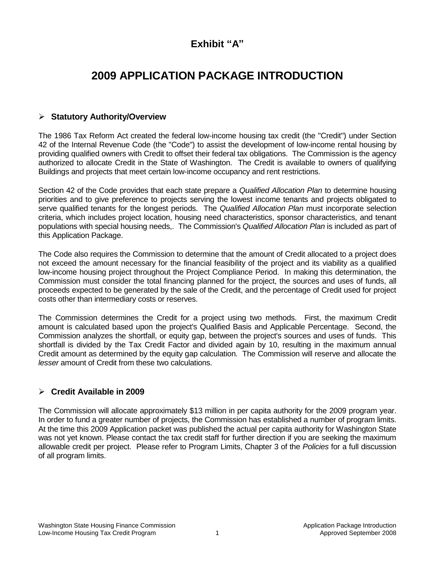## **Exhibit "A"**

# **2009 APPLICATION PACKAGE INTRODUCTION**

## **Statutory Authority/Overview**

The 1986 Tax Reform Act created the federal low-income housing tax credit (the "Credit") under Section 42 of the Internal Revenue Code (the "Code") to assist the development of low-income rental housing by providing qualified owners with Credit to offset their federal tax obligations. The Commission is the agency authorized to allocate Credit in the State of Washington. The Credit is available to owners of qualifying Buildings and projects that meet certain low-income occupancy and rent restrictions.

Section 42 of the Code provides that each state prepare a *Qualified Allocation Plan* to determine housing priorities and to give preference to projects serving the lowest income tenants and projects obligated to serve qualified tenants for the longest periods. The *Qualified Allocation Plan* must incorporate selection criteria, which includes project location, housing need characteristics, sponsor characteristics, and tenant populations with special housing needs,. The Commission's *Qualified Allocation Plan* is included as part of this Application Package.

The Code also requires the Commission to determine that the amount of Credit allocated to a project does not exceed the amount necessary for the financial feasibility of the project and its viability as a qualified low-income housing project throughout the Project Compliance Period. In making this determination, the Commission must consider the total financing planned for the project, the sources and uses of funds, all proceeds expected to be generated by the sale of the Credit, and the percentage of Credit used for project costs other than intermediary costs or reserves.

The Commission determines the Credit for a project using two methods. First, the maximum Credit amount is calculated based upon the project's Qualified Basis and Applicable Percentage. Second, the Commission analyzes the shortfall, or equity gap, between the project's sources and uses of funds. This shortfall is divided by the Tax Credit Factor and divided again by 10, resulting in the maximum annual Credit amount as determined by the equity gap calculation. The Commission will reserve and allocate the *lesser* amount of Credit from these two calculations.

## **Credit Available in 2009**

The Commission will allocate approximately \$13 million in per capita authority for the 2009 program year. In order to fund a greater number of projects, the Commission has established a number of program limits. At the time this 2009 Application packet was published the actual per capita authority for Washington State was not yet known. Please contact the tax credit staff for further direction if you are seeking the maximum allowable credit per project. Please refer to Program Limits, Chapter 3 of the *Policies* for a full discussion of all program limits.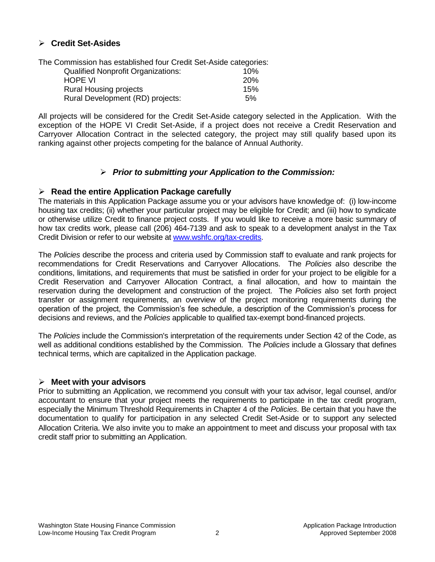## **Credit Set-Asides**

The Commission has established four Credit Set-Aside categories: Qualified Nonprofit Organizations: 10%

| <b>HOPE VI</b>                   | <b>20%</b> |
|----------------------------------|------------|
| <b>Rural Housing projects</b>    | 15%        |
| Rural Development (RD) projects: | 5%         |

All projects will be considered for the Credit Set-Aside category selected in the Application. With the exception of the HOPE VI Credit Set-Aside, if a project does not receive a Credit Reservation and Carryover Allocation Contract in the selected category, the project may still qualify based upon its ranking against other projects competing for the balance of Annual Authority.

## *Prior to submitting your Application to the Commission:*

## **Read the entire Application Package carefully**

The materials in this Application Package assume you or your advisors have knowledge of: (i) low-income housing tax credits; (ii) whether your particular project may be eligible for Credit; and (iii) how to syndicate or otherwise utilize Credit to finance project costs. If you would like to receive a more basic summary of how tax credits work, please call (206) 464-7139 and ask to speak to a development analyst in the Tax Credit Division or refer to our website at [www.wshfc.org/tax-credits.](http://www.wshfc.org/tax-credits)

The *Policies* describe the process and criteria used by Commission staff to evaluate and rank projects for recommendations for Credit Reservations and Carryover Allocations. The *Policies* also describe the conditions, limitations, and requirements that must be satisfied in order for your project to be eligible for a Credit Reservation and Carryover Allocation Contract, a final allocation, and how to maintain the reservation during the development and construction of the project. The *Policies* also set forth project transfer or assignment requirements, an overview of the project monitoring requirements during the operation of the project, the Commission's fee schedule, a description of the Commission's process for decisions and reviews, and the *Policies* applicable to qualified tax-exempt bond-financed projects.

The *Policies* include the Commission's interpretation of the requirements under Section 42 of the Code, as well as additional conditions established by the Commission. The *Policies* include a Glossary that defines technical terms, which are capitalized in the Application package.

#### **Meet with your advisors**

Prior to submitting an Application, we recommend you consult with your tax advisor, legal counsel, and/or accountant to ensure that your project meets the requirements to participate in the tax credit program, especially the Minimum Threshold Requirements in Chapter 4 of the *Policies*. Be certain that you have the documentation to qualify for participation in any selected Credit Set-Aside or to support any selected Allocation Criteria. We also invite you to make an appointment to meet and discuss your proposal with tax credit staff prior to submitting an Application.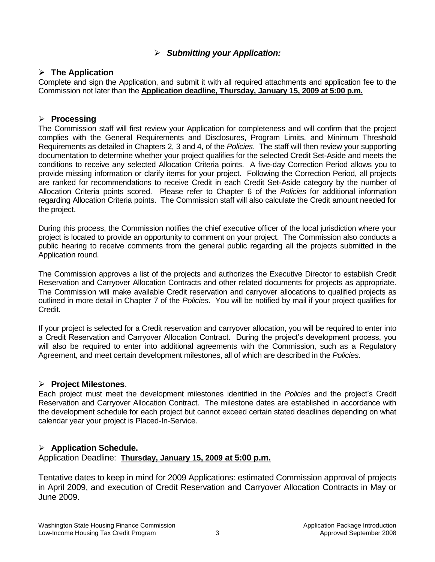## *Submitting your Application:*

### **The Application**

Complete and sign the Application, and submit it with all required attachments and application fee to the Commission not later than the **Application deadline, Thursday, January 15, 2009 at 5:00 p.m.**

### **Processing**

The Commission staff will first review your Application for completeness and will confirm that the project complies with the General Requirements and Disclosures, Program Limits, and Minimum Threshold Requirements as detailed in Chapters 2, 3 and 4, of the *Policies*. The staff will then review your supporting documentation to determine whether your project qualifies for the selected Credit Set-Aside and meets the conditions to receive any selected Allocation Criteria points. A five-day Correction Period allows you to provide missing information or clarify items for your project. Following the Correction Period, all projects are ranked for recommendations to receive Credit in each Credit Set-Aside category by the number of Allocation Criteria points scored. Please refer to Chapter 6 of the *Policies* for additional information regarding Allocation Criteria points. The Commission staff will also calculate the Credit amount needed for the project.

During this process, the Commission notifies the chief executive officer of the local jurisdiction where your project is located to provide an opportunity to comment on your project. The Commission also conducts a public hearing to receive comments from the general public regarding all the projects submitted in the Application round.

The Commission approves a list of the projects and authorizes the Executive Director to establish Credit Reservation and Carryover Allocation Contracts and other related documents for projects as appropriate. The Commission will make available Credit reservation and carryover allocations to qualified projects as outlined in more detail in Chapter 7 of the *Policies*. You will be notified by mail if your project qualifies for Credit.

If your project is selected for a Credit reservation and carryover allocation, you will be required to enter into a Credit Reservation and Carryover Allocation Contract. During the project's development process, you will also be required to enter into additional agreements with the Commission, such as a Regulatory Agreement, and meet certain development milestones, all of which are described in the *Policies*.

## **Project Milestones**.

Each project must meet the development milestones identified in the *Policies* and the project's Credit Reservation and Carryover Allocation Contract. The milestone dates are established in accordance with the development schedule for each project but cannot exceed certain stated deadlines depending on what calendar year your project is Placed-In-Service.

## **Application Schedule.**

Application Deadline: **Thursday, January 15, 2009 at 5:00 p.m.**

Tentative dates to keep in mind for 2009 Applications: estimated Commission approval of projects in April 2009, and execution of Credit Reservation and Carryover Allocation Contracts in May or June 2009.